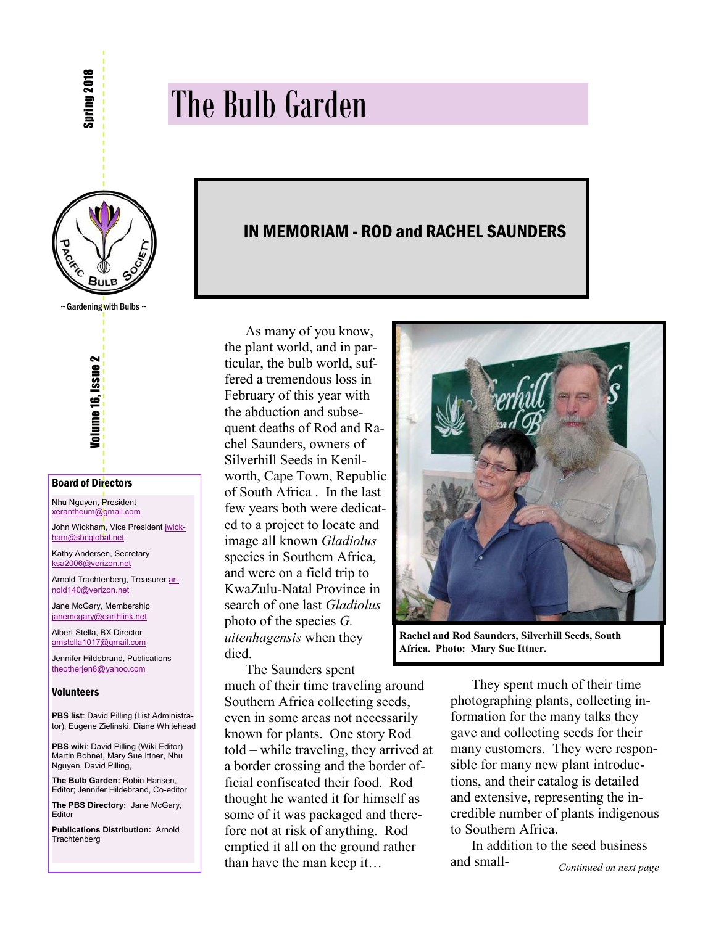# The Bulb Garden

I



#### Board of Directors

Nhu Nguyen, President [xerantheum@gmail.com](mailto:xerantheum@gmail.com)

John Wickham, Vice President [jwick](mailto:jwickham@sbcglobal.net)ham@sbcqlobal.net

Kathy Andersen, Secretary [ksa2006@verizon.net](mailto:ksa2006@verizon.net)

Arnold Trachtenberg, Treasurer [ar](mailto:arnold140@verizon.net)[nold140@verizon.net](mailto:arnold140@verizon.net)

Jane McGary, Membership ianemcgary@earthlink.net

Albert Stella, BX Director amstella1017@gmail.com

Jennifer Hildebrand, Publications [theotherjen8@yahoo.com](mailto:theotherjen8@yahoo.com)

#### Volunteers

**PBS list**: David Pilling (List Administrator), Eugene Zielinski, Diane Whitehead

**PBS wiki**: David Pilling (Wiki Editor) Martin Bohnet, Mary Sue Ittner, Nhu Nguyen, David Pilling,

**The Bulb Garden:** Robin Hansen, Editor; Jennifer Hildebrand, Co-editor

**The PBS Directory:** Jane McGary, Editor

**Publications Distribution:** Arnold **Trachtenberg** 

# IN MEMORIAM - ROD and RACHEL SAUNDERS

As many of you know, the plant world, and in particular, the bulb world, suffered a tremendous loss in February of this year with the abduction and subsequent deaths of Rod and Rachel Saunders, owners of Silverhill Seeds in Kenilworth, Cape Town, Republic of South Africa . In the last few years both were dedicated to a project to locate and image all known *Gladiolus* species in Southern Africa, and were on a field trip to KwaZulu-Natal Province in search of one last *Gladiolus*  photo of the species *G. uitenhagensis* when they died.

The Saunders spent

much of their time traveling around Southern Africa collecting seeds, even in some areas not necessarily known for plants. One story Rod told – while traveling, they arrived at a border crossing and the border official confiscated their food. Rod thought he wanted it for himself as some of it was packaged and therefore not at risk of anything. Rod emptied it all on the ground rather than have the man keep it…



**Rachel and Rod Saunders, Silverhill Seeds, South Africa. Photo: Mary Sue Ittner.** 

They spent much of their time photographing plants, collecting information for the many talks they gave and collecting seeds for their many customers. They were responsible for many new plant introductions, and their catalog is detailed and extensive, representing the incredible number of plants indigenous to Southern Africa.

In addition to the seed business and small-*Continued on next page*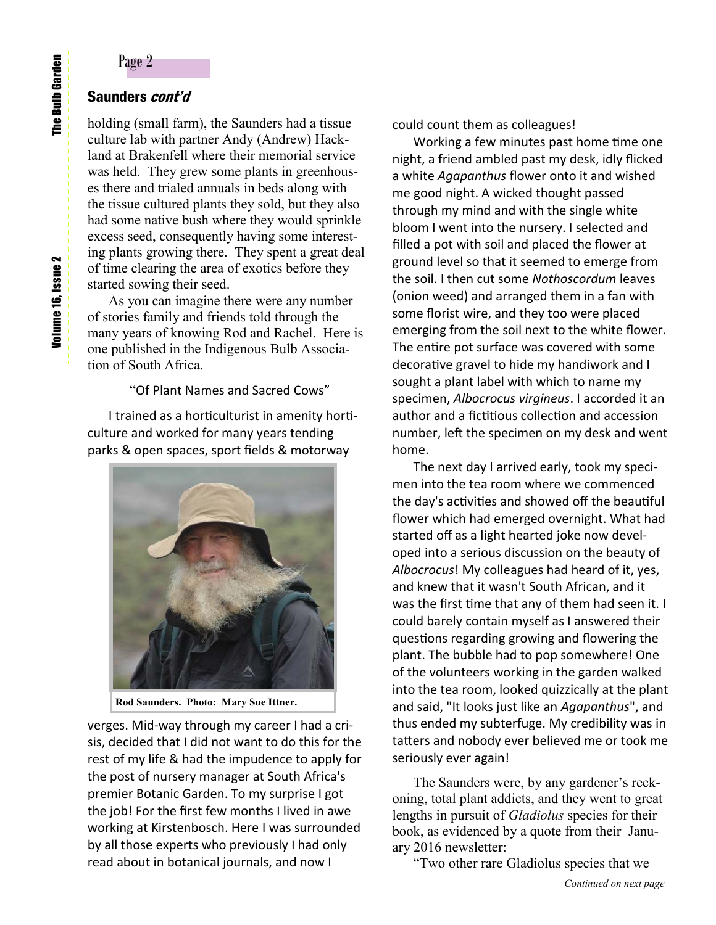# Saunders *cont'd*

holding (small farm), the Saunders had a tissue culture lab with partner Andy (Andrew) Hackland at Brakenfell where their memorial service was held. They grew some plants in greenhouses there and trialed annuals in beds along with the tissue cultured plants they sold, but they also had some native bush where they would sprinkle excess seed, consequently having some interesting plants growing there. They spent a great deal of time clearing the area of exotics before they started sowing their seed.

As you can imagine there were any number of stories family and friends told through the many years of knowing Rod and Rachel. Here is one published in the Indigenous Bulb Association of South Africa.

"Of Plant Names and Sacred Cows"

I trained as a horticulturist in amenity horticulture and worked for many years tending parks & open spaces, sport fields & motorway



**Rod Saunders. Photo: Mary Sue Ittner.**

verges. Mid-way through my career I had a crisis, decided that I did not want to do this for the rest of my life & had the impudence to apply for the post of nursery manager at South Africa's premier Botanic Garden. To my surprise I got the job! For the first few months I lived in awe working at Kirstenbosch. Here I was surrounded by all those experts who previously I had only read about in botanical journals, and now I

could count them as colleagues!

Working a few minutes past home time one night, a friend ambled past my desk, idly flicked a white *Agapanthus* flower onto it and wished me good night. A wicked thought passed through my mind and with the single white bloom I went into the nursery. I selected and filled a pot with soil and placed the flower at ground level so that it seemed to emerge from the soil. I then cut some *Nothoscordum* leaves (onion weed) and arranged them in a fan with some florist wire, and they too were placed emerging from the soil next to the white flower. The entire pot surface was covered with some decorative gravel to hide my handiwork and I sought a plant label with which to name my specimen, *Albocrocus virgineus*. I accorded it an author and a fictitious collection and accession number, left the specimen on my desk and went home.

The next day I arrived early, took my specimen into the tea room where we commenced the day's activities and showed off the beautiful flower which had emerged overnight. What had started off as a light hearted joke now developed into a serious discussion on the beauty of *Albocrocus*! My colleagues had heard of it, yes, and knew that it wasn't South African, and it was the first time that any of them had seen it. I could barely contain myself as I answered their questions regarding growing and flowering the plant. The bubble had to pop somewhere! One of the volunteers working in the garden walked into the tea room, looked quizzically at the plant and said, "It looks just like an *Agapanthus*", and thus ended my subterfuge. My credibility was in tatters and nobody ever believed me or took me seriously ever again!

The Saunders were, by any gardener's reckoning, total plant addicts, and they went to great lengths in pursuit of *Gladiolus* species for their book, as evidenced by a quote from their January 2016 newsletter:

"Two other rare Gladiolus species that we

**The Bulb Garden**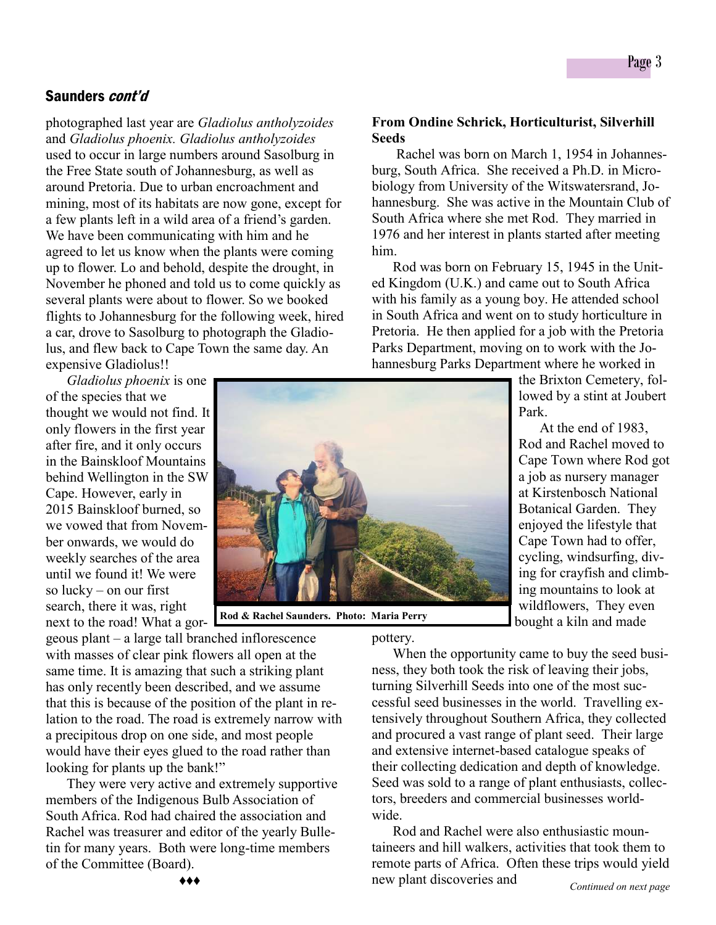photographed last year are *Gladiolus antholyzoides* and *Gladiolus phoenix. Gladiolus antholyzoides* used to occur in large numbers around Sasolburg in the Free State south of Johannesburg, as well as around Pretoria. Due to urban encroachment and mining, most of its habitats are now gone, except for a few plants left in a wild area of a friend's garden. We have been communicating with him and he agreed to let us know when the plants were coming up to flower. Lo and behold, despite the drought, in November he phoned and told us to come quickly as several plants were about to flower. So we booked flights to Johannesburg for the following week, hired a car, drove to Sasolburg to photograph the Gladiolus, and flew back to Cape Town the same day. An expensive Gladiolus!!

*Gladiolus phoenix* is one of the species that we thought we would not find. It only flowers in the first year after fire, and it only occurs in the Bainskloof Mountains behind Wellington in the SW Cape. However, early in 2015 Bainskloof burned, so we vowed that from November onwards, we would do weekly searches of the area until we found it! We were so lucky – on our first search, there it was, right next to the road! What a gor-

geous plant – a large tall branched inflorescence with masses of clear pink flowers all open at the same time. It is amazing that such a striking plant has only recently been described, and we assume that this is because of the position of the plant in relation to the road. The road is extremely narrow with a precipitous drop on one side, and most people would have their eyes glued to the road rather than looking for plants up the bank!"

They were very active and extremely supportive members of the Indigenous Bulb Association of South Africa. Rod had chaired the association and Rachel was treasurer and editor of the yearly Bulletin for many years. Both were long-time members of the Committee (Board).

# **From Ondine Schrick, Horticulturist, Silverhill Seeds**

 Rachel was born on March 1, 1954 in Johannesburg, South Africa. She received a Ph.D. in Microbiology from University of the Witswatersrand, Johannesburg. She was active in the Mountain Club of South Africa where she met Rod. They married in 1976 and her interest in plants started after meeting him.

Rod was born on February 15, 1945 in the United Kingdom (U.K.) and came out to South Africa with his family as a young boy. He attended school in South Africa and went on to study horticulture in Pretoria. He then applied for a job with the Pretoria Parks Department, moving on to work with the Johannesburg Parks Department where he worked in

> the Brixton Cemetery, followed by a stint at Joubert Park.

 At the end of 1983, Rod and Rachel moved to Cape Town where Rod got a job as nursery manager at Kirstenbosch National Botanical Garden. They enjoyed the lifestyle that Cape Town had to offer, cycling, windsurfing, diving for crayfish and climbing mountains to look at wildflowers, They even bought a kiln and made

**Rod & Rachel Saunders. Photo: Maria Perry**

pottery.

When the opportunity came to buy the seed business, they both took the risk of leaving their jobs, turning Silverhill Seeds into one of the most successful seed businesses in the world. Travelling extensively throughout Southern Africa, they collected and procured a vast range of plant seed. Their large and extensive internet-based catalogue speaks of their collecting dedication and depth of knowledge. Seed was sold to a range of plant enthusiasts, collectors, breeders and commercial businesses worldwide.

Rod and Rachel were also enthusiastic mountaineers and hill walkers, activities that took them to remote parts of Africa. Often these trips would yield new plant discoveries and *Continued on next page* 

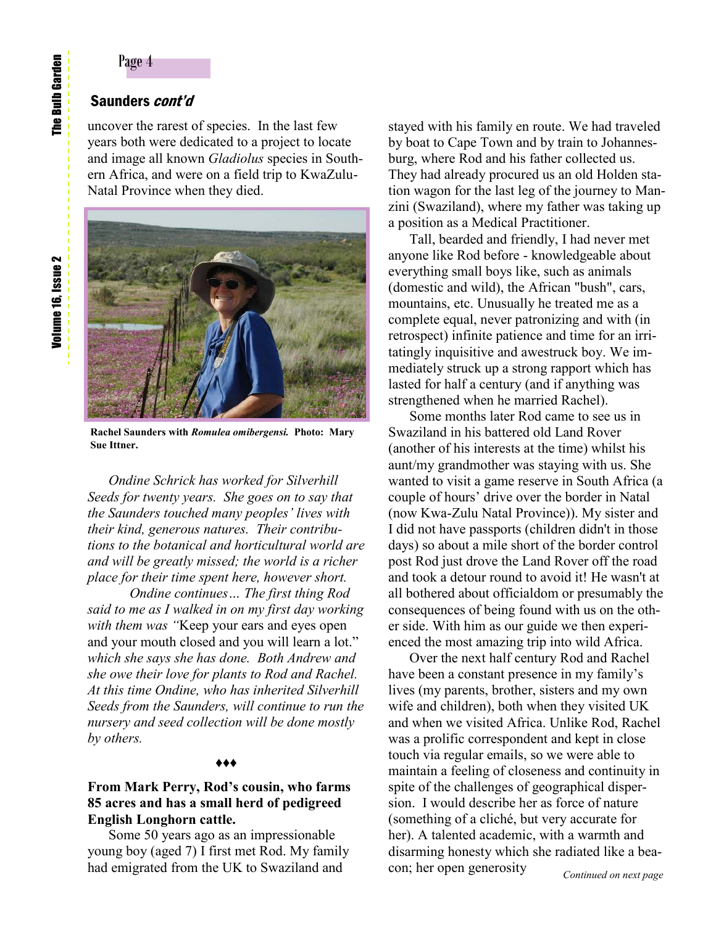# Saunders *cont'd*

uncover the rarest of species. In the last few years both were dedicated to a project to locate and image all known *Gladiolus* species in Southern Africa, and were on a field trip to KwaZulu-Natal Province when they died.



**Rachel Saunders with** *Romulea omibergensi.* **Photo: Mary Sue Ittner.**

*Ondine Schrick has worked for Silverhill Seeds for twenty years. She goes on to say that the Saunders touched many peoples' lives with their kind, generous natures. Their contributions to the botanical and horticultural world are and will be greatly missed; the world is a richer place for their time spent here, however short.*

 *Ondine continues… The first thing Rod said to me as I walked in on my first day working with them was "*Keep your ears and eyes open and your mouth closed and you will learn a lot." *which she says she has done. Both Andrew and she owe their love for plants to Rod and Rachel. At this time Ondine, who has inherited Silverhill Seeds from the Saunders, will continue to run the nursery and seed collection will be done mostly by others.*

#### *♦♦♦*

# **From Mark Perry, Rod's cousin, who farms 85 acres and has a small herd of pedigreed English Longhorn cattle.**

Some 50 years ago as an impressionable young boy (aged 7) I first met Rod. My family had emigrated from the UK to Swaziland and

stayed with his family en route. We had traveled by boat to Cape Town and by train to Johannesburg, where Rod and his father collected us. They had already procured us an old Holden station wagon for the last leg of the journey to Manzini (Swaziland), where my father was taking up a position as a Medical Practitioner.

Tall, bearded and friendly, I had never met anyone like Rod before - knowledgeable about everything small boys like, such as animals (domestic and wild), the African "bush", cars, mountains, etc. Unusually he treated me as a complete equal, never patronizing and with (in retrospect) infinite patience and time for an irritatingly inquisitive and awestruck boy. We immediately struck up a strong rapport which has lasted for half a century (and if anything was strengthened when he married Rachel).

Some months later Rod came to see us in Swaziland in his battered old Land Rover (another of his interests at the time) whilst his aunt/my grandmother was staying with us. She wanted to visit a game reserve in South Africa (a couple of hours' drive over the border in Natal (now Kwa-Zulu Natal Province)). My sister and I did not have passports (children didn't in those days) so about a mile short of the border control post Rod just drove the Land Rover off the road and took a detour round to avoid it! He wasn't at all bothered about officialdom or presumably the consequences of being found with us on the other side. With him as our guide we then experienced the most amazing trip into wild Africa.

Over the next half century Rod and Rachel have been a constant presence in my family's lives (my parents, brother, sisters and my own wife and children), both when they visited UK and when we visited Africa. Unlike Rod, Rachel was a prolific correspondent and kept in close touch via regular emails, so we were able to maintain a feeling of closeness and continuity in spite of the challenges of geographical dispersion. I would describe her as force of nature (something of a cliché, but very accurate for her). A talented academic, with a warmth and disarming honesty which she radiated like a beacon; her open generosity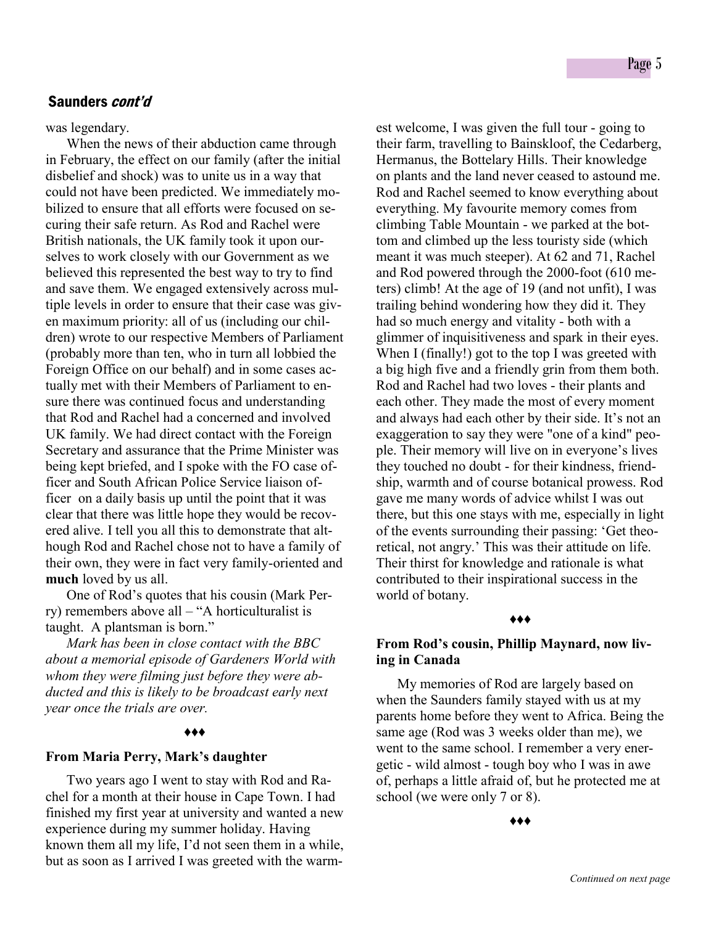was legendary.

When the news of their abduction came through in February, the effect on our family (after the initial disbelief and shock) was to unite us in a way that could not have been predicted. We immediately mobilized to ensure that all efforts were focused on securing their safe return. As Rod and Rachel were British nationals, the UK family took it upon ourselves to work closely with our Government as we believed this represented the best way to try to find and save them. We engaged extensively across multiple levels in order to ensure that their case was given maximum priority: all of us (including our children) wrote to our respective Members of Parliament (probably more than ten, who in turn all lobbied the Foreign Office on our behalf) and in some cases actually met with their Members of Parliament to ensure there was continued focus and understanding that Rod and Rachel had a concerned and involved UK family. We had direct contact with the Foreign Secretary and assurance that the Prime Minister was being kept briefed, and I spoke with the FO case officer and South African Police Service liaison officer on a daily basis up until the point that it was clear that there was little hope they would be recovered alive. I tell you all this to demonstrate that although Rod and Rachel chose not to have a family of their own, they were in fact very family-oriented and **much** loved by us all.

One of Rod's quotes that his cousin (Mark Perry) remembers above all – "A horticulturalist is taught. A plantsman is born."

*Mark has been in close contact with the BBC about a memorial episode of Gardeners World with whom they were filming just before they were abducted and this is likely to be broadcast early next year once the trials are over.*

#### *♦♦♦*

#### **From Maria Perry, Mark's daughter**

Two years ago I went to stay with Rod and Rachel for a month at their house in Cape Town. I had finished my first year at university and wanted a new experience during my summer holiday. Having known them all my life, I'd not seen them in a while, but as soon as I arrived I was greeted with the warmest welcome, I was given the full tour - going to their farm, travelling to Bainskloof, the Cedarberg, Hermanus, the Bottelary Hills. Their knowledge on plants and the land never ceased to astound me. Rod and Rachel seemed to know everything about everything. My favourite memory comes from climbing Table Mountain - we parked at the bottom and climbed up the less touristy side (which meant it was much steeper). At 62 and 71, Rachel and Rod powered through the 2000-foot (610 meters) climb! At the age of 19 (and not unfit), I was trailing behind wondering how they did it. They had so much energy and vitality - both with a glimmer of inquisitiveness and spark in their eyes. When I (finally!) got to the top I was greeted with a big high five and a friendly grin from them both. Rod and Rachel had two loves - their plants and each other. They made the most of every moment and always had each other by their side. It's not an exaggeration to say they were "one of a kind" people. Their memory will live on in everyone's lives they touched no doubt - for their kindness, friendship, warmth and of course botanical prowess. Rod gave me many words of advice whilst I was out there, but this one stays with me, especially in light of the events surrounding their passing: 'Get theoretical, not angry.' This was their attitude on life. Their thirst for knowledge and rationale is what contributed to their inspirational success in the world of botany.

#### *♦♦♦*

# **From Rod's cousin, Phillip Maynard, now living in Canada**

My memories of Rod are largely based on when the Saunders family stayed with us at my parents home before they went to Africa. Being the same age (Rod was 3 weeks older than me), we went to the same school. I remember a very energetic - wild almost - tough boy who I was in awe of, perhaps a little afraid of, but he protected me at school (we were only 7 or 8).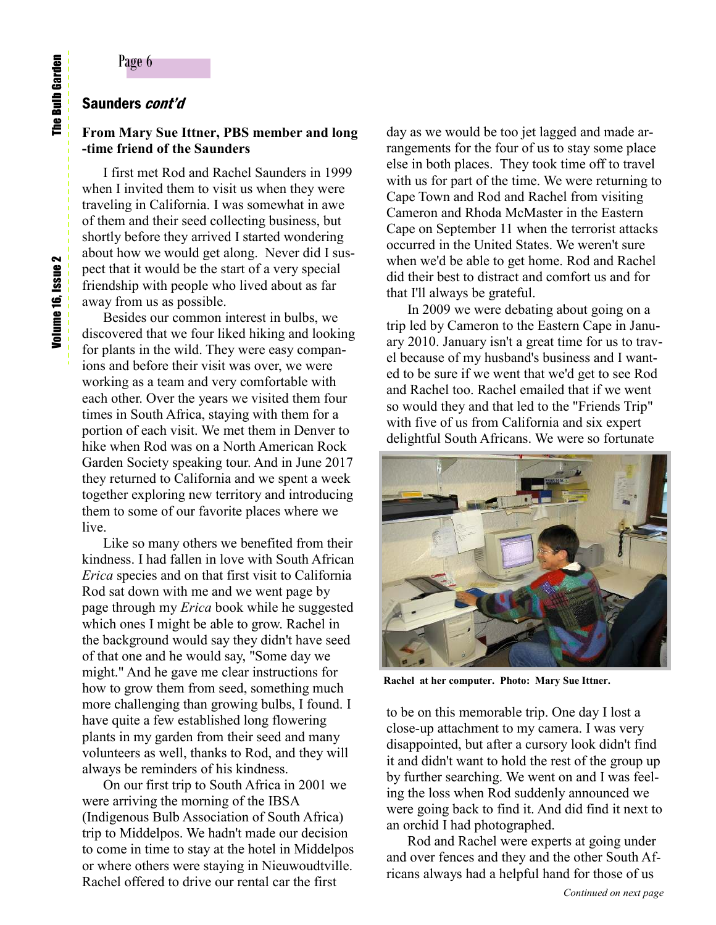# Saunders cont'd

## **From Mary Sue Ittner, PBS member and long -time friend of the Saunders**

I first met Rod and Rachel Saunders in 1999 when I invited them to visit us when they were traveling in California. I was somewhat in awe of them and their seed collecting business, but shortly before they arrived I started wondering about how we would get along. Never did I suspect that it would be the start of a very special friendship with people who lived about as far away from us as possible.

Besides our common interest in bulbs, we discovered that we four liked hiking and looking for plants in the wild. They were easy companions and before their visit was over, we were working as a team and very comfortable with each other. Over the years we visited them four times in South Africa, staying with them for a portion of each visit. We met them in Denver to hike when Rod was on a North American Rock Garden Society speaking tour. And in June 2017 they returned to California and we spent a week together exploring new territory and introducing them to some of our favorite places where we live.

Like so many others we benefited from their kindness. I had fallen in love with South African *Erica* species and on that first visit to California Rod sat down with me and we went page by page through my *Erica* book while he suggested which ones I might be able to grow. Rachel in the background would say they didn't have seed of that one and he would say, "Some day we might." And he gave me clear instructions for how to grow them from seed, something much more challenging than growing bulbs, I found. I have quite a few established long flowering plants in my garden from their seed and many volunteers as well, thanks to Rod, and they will always be reminders of his kindness.

On our first trip to South Africa in 2001 we were arriving the morning of the IBSA (Indigenous Bulb Association of South Africa) trip to Middelpos. We hadn't made our decision to come in time to stay at the hotel in Middelpos or where others were staying in Nieuwoudtville. Rachel offered to drive our rental car the first

day as we would be too jet lagged and made arrangements for the four of us to stay some place else in both places. They took time off to travel with us for part of the time. We were returning to Cape Town and Rod and Rachel from visiting Cameron and Rhoda McMaster in the Eastern Cape on September 11 when the terrorist attacks occurred in the United States. We weren't sure when we'd be able to get home. Rod and Rachel did their best to distract and comfort us and for that I'll always be grateful.

In 2009 we were debating about going on a trip led by Cameron to the Eastern Cape in January 2010. January isn't a great time for us to travel because of my husband's business and I wanted to be sure if we went that we'd get to see Rod and Rachel too. Rachel emailed that if we went so would they and that led to the "Friends Trip" with five of us from California and six expert delightful South Africans. We were so fortunate



**Rachel at her computer. Photo: Mary Sue Ittner.**

to be on this memorable trip. One day I lost a close-up attachment to my camera. I was very disappointed, but after a cursory look didn't find it and didn't want to hold the rest of the group up by further searching. We went on and I was feeling the loss when Rod suddenly announced we were going back to find it. And did find it next to an orchid I had photographed.

Rod and Rachel were experts at going under and over fences and they and the other South Africans always had a helpful hand for those of us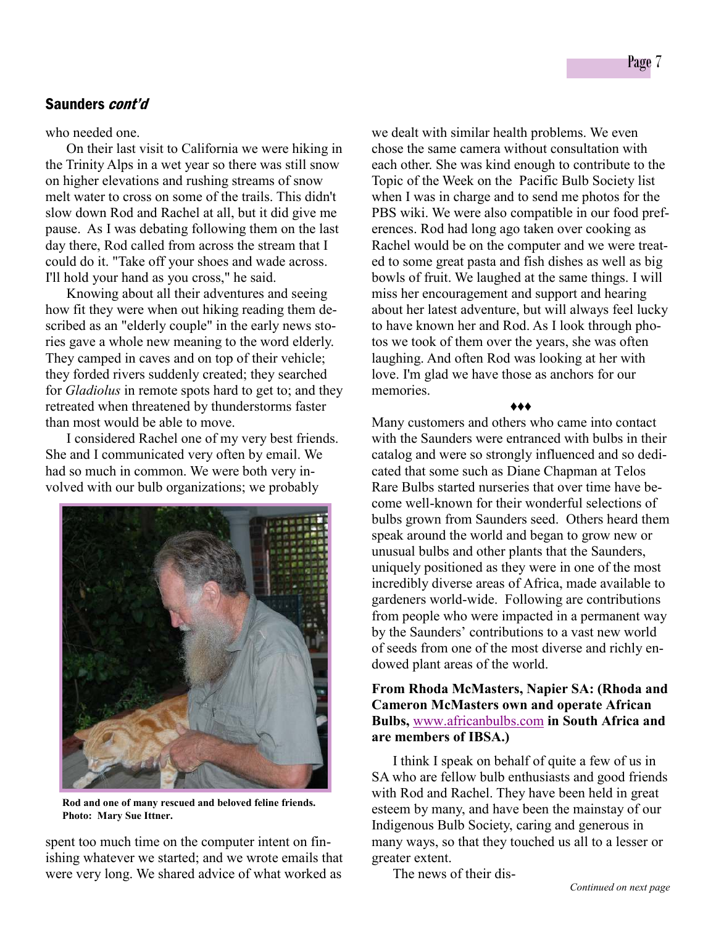#### who needed one.

On their last visit to California we were hiking in the Trinity Alps in a wet year so there was still snow on higher elevations and rushing streams of snow melt water to cross on some of the trails. This didn't slow down Rod and Rachel at all, but it did give me pause. As I was debating following them on the last day there, Rod called from across the stream that I could do it. "Take off your shoes and wade across. I'll hold your hand as you cross," he said.

Knowing about all their adventures and seeing how fit they were when out hiking reading them described as an "elderly couple" in the early news stories gave a whole new meaning to the word elderly. They camped in caves and on top of their vehicle; they forded rivers suddenly created; they searched for *Gladiolus* in remote spots hard to get to; and they retreated when threatened by thunderstorms faster than most would be able to move.

I considered Rachel one of my very best friends. She and I communicated very often by email. We had so much in common. We were both very involved with our bulb organizations; we probably



**Rod and one of many rescued and beloved feline friends. Photo: Mary Sue Ittner.** 

spent too much time on the computer intent on finishing whatever we started; and we wrote emails that were very long. We shared advice of what worked as

we dealt with similar health problems. We even chose the same camera without consultation with each other. She was kind enough to contribute to the Topic of the Week on the Pacific Bulb Society list when I was in charge and to send me photos for the PBS wiki. We were also compatible in our food preferences. Rod had long ago taken over cooking as Rachel would be on the computer and we were treated to some great pasta and fish dishes as well as big bowls of fruit. We laughed at the same things. I will miss her encouragement and support and hearing about her latest adventure, but will always feel lucky to have known her and Rod. As I look through photos we took of them over the years, she was often laughing. And often Rod was looking at her with love. I'm glad we have those as anchors for our memories.

*♦♦♦*

Many customers and others who came into contact with the Saunders were entranced with bulbs in their catalog and were so strongly influenced and so dedicated that some such as Diane Chapman at Telos Rare Bulbs started nurseries that over time have become well-known for their wonderful selections of bulbs grown from Saunders seed. Others heard them speak around the world and began to grow new or unusual bulbs and other plants that the Saunders, uniquely positioned as they were in one of the most incredibly diverse areas of Africa, made available to gardeners world-wide. Following are contributions from people who were impacted in a permanent way by the Saunders' contributions to a vast new world of seeds from one of the most diverse and richly endowed plant areas of the world.

# **From Rhoda McMasters, Napier SA: (Rhoda and Cameron McMasters own and operate African Bulbs,** [www.africanbulbs.com](http://www.africanbulbs.com) **in South Africa and are members of IBSA.)**

I think I speak on behalf of quite a few of us in SA who are fellow bulb enthusiasts and good friends with Rod and Rachel. They have been held in great esteem by many, and have been the mainstay of our Indigenous Bulb Society, caring and generous in many ways, so that they touched us all to a lesser or greater extent.

The news of their dis-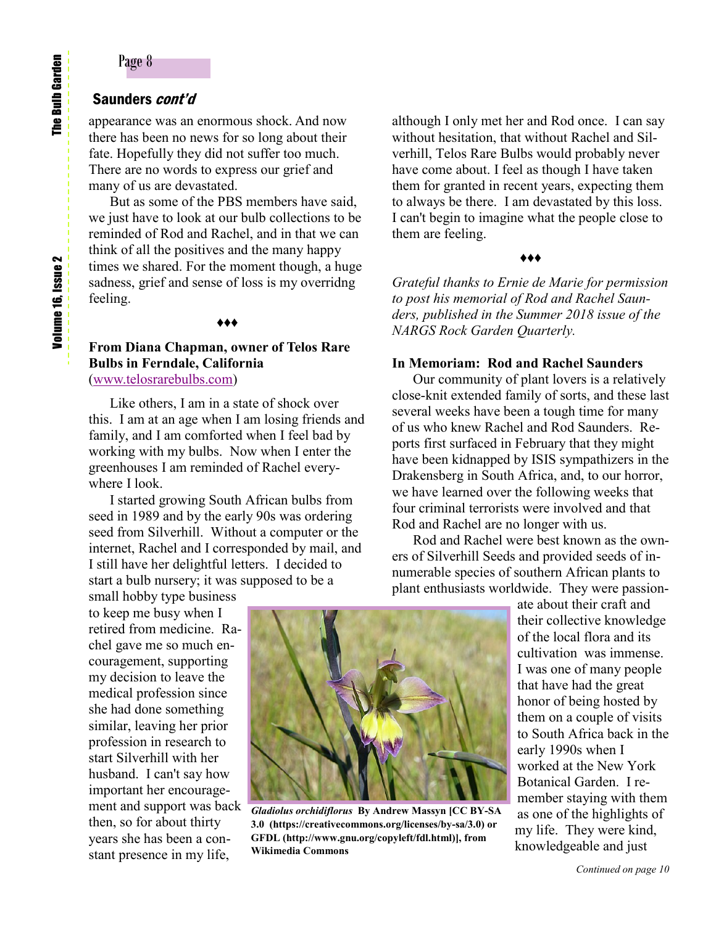# Saunders cont'd

appearance was an enormous shock. And now there has been no news for so long about their fate. Hopefully they did not suffer too much. There are no words to express our grief and many of us are devastated.

But as some of the PBS members have said, we just have to look at our bulb collections to be reminded of Rod and Rachel, and in that we can think of all the positives and the many happy times we shared. For the moment though, a huge sadness, grief and sense of loss is my overridng feeling.

#### *♦♦♦*

# **From Diana Chapman, owner of Telos Rare Bulbs in Ferndale, California** ([www.telosrarebulbs.com\)](http://www.telosrarebulbs.com)

Like others, I am in a state of shock over this. I am at an age when I am losing friends and family, and I am comforted when I feel bad by working with my bulbs. Now when I enter the greenhouses I am reminded of Rachel everywhere I look.

I started growing South African bulbs from seed in 1989 and by the early 90s was ordering seed from Silverhill. Without a computer or the internet, Rachel and I corresponded by mail, and I still have her delightful letters. I decided to start a bulb nursery; it was supposed to be a

small hobby type business to keep me busy when I retired from medicine. Rachel gave me so much encouragement, supporting my decision to leave the medical profession since she had done something similar, leaving her prior profession in research to start Silverhill with her husband. I can't say how important her encouragement and support was back then, so for about thirty years she has been a constant presence in my life,



*Gladiolus orchidiflorus* **By Andrew Massyn [CC BY-SA 3.0 (https://creativecommons.org/licenses/by-sa/3.0) or GFDL (http://www.gnu.org/copyleft/fdl.html)], from Wikimedia Commons** 

although I only met her and Rod once. I can say without hesitation, that without Rachel and Silverhill, Telos Rare Bulbs would probably never have come about. I feel as though I have taken them for granted in recent years, expecting them to always be there. I am devastated by this loss. I can't begin to imagine what the people close to them are feeling.

#### *♦♦♦*

*Grateful thanks to Ernie de Marie for permission to post his memorial of Rod and Rachel Saunders, published in the Summer 2018 issue of the NARGS Rock Garden Quarterly.*

#### **In Memoriam: Rod and Rachel Saunders**

Our community of plant lovers is a relatively close-knit extended family of sorts, and these last several weeks have been a tough time for many of us who knew Rachel and Rod Saunders. Reports first surfaced in February that they might have been kidnapped by ISIS sympathizers in the Drakensberg in South Africa, and, to our horror, we have learned over the following weeks that four criminal terrorists were involved and that Rod and Rachel are no longer with us.

 Rod and Rachel were best known as the owners of Silverhill Seeds and provided seeds of innumerable species of southern African plants to plant enthusiasts worldwide. They were passion-

> ate about their craft and their collective knowledge of the local flora and its cultivation was immense. I was one of many people that have had the great honor of being hosted by them on a couple of visits to South Africa back in the early 1990s when I worked at the New York Botanical Garden. I remember staying with them as one of the highlights of my life. They were kind, knowledgeable and just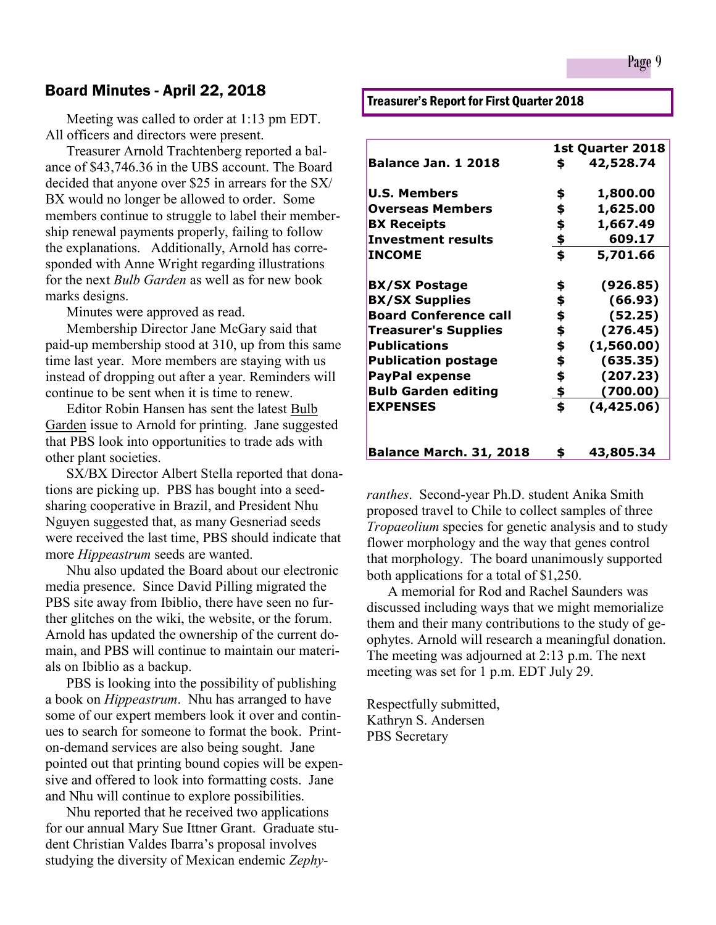# Board Minutes - April 22, 2018

 Meeting was called to order at 1:13 pm EDT. All officers and directors were present.

Treasurer Arnold Trachtenberg reported a balance of \$43,746.36 in the UBS account. The Board decided that anyone over \$25 in arrears for the SX/ BX would no longer be allowed to order. Some members continue to struggle to label their membership renewal payments properly, failing to follow the explanations. Additionally, Arnold has corresponded with Anne Wright regarding illustrations for the next *Bulb Garden* as well as for new book marks designs.

Minutes were approved as read.

Membership Director Jane McGary said that paid-up membership stood at 310, up from this same time last year. More members are staying with us instead of dropping out after a year. Reminders will continue to be sent when it is time to renew.

Editor Robin Hansen has sent the latest Bulb Garden issue to Arnold for printing. Jane suggested that PBS look into opportunities to trade ads with other plant societies.

SX/BX Director Albert Stella reported that donations are picking up. PBS has bought into a seedsharing cooperative in Brazil, and President Nhu Nguyen suggested that, as many Gesneriad seeds were received the last time, PBS should indicate that more *Hippeastrum* seeds are wanted.

Nhu also updated the Board about our electronic media presence. Since David Pilling migrated the PBS site away from Ibiblio, there have seen no further glitches on the wiki, the website, or the forum. Arnold has updated the ownership of the current domain, and PBS will continue to maintain our materials on Ibiblio as a backup.

PBS is looking into the possibility of publishing a book on *Hippeastrum*. Nhu has arranged to have some of our expert members look it over and continues to search for someone to format the book. Printon-demand services are also being sought. Jane pointed out that printing bound copies will be expensive and offered to look into formatting costs. Jane and Nhu will continue to explore possibilities.

Nhu reported that he received two applications for our annual Mary Sue Ittner Grant. Graduate student Christian Valdes Ibarra's proposal involves studying the diversity of Mexican endemic *Zephy-* Treasurer's Report for First Quarter 2018

|                                | 1st Quarter 2018 |            |
|--------------------------------|------------------|------------|
| <b>Balance Jan. 1 2018</b>     | \$               | 42,528.74  |
| <b>U.S. Members</b>            | \$               | 1,800.00   |
| <b>Overseas Members</b>        | \$               | 1,625.00   |
| <b>BX Receipts</b>             | \$               | 1,667.49   |
| <b>Investment results</b>      | $\clubsuit$      | 609.17     |
| <b>INCOME</b>                  | \$               | 5,701.66   |
| <b>BX/SX Postage</b>           | \$               | (926.85)   |
| <b>BX/SX Supplies</b>          | \$               | (66.93)    |
| <b>Board Conference call</b>   | \$               | (52.25)    |
| <b>Treasurer's Supplies</b>    | \$               | (276.45)   |
| <b>Publications</b>            | \$               | (1,560.00) |
| <b>Publication postage</b>     | \$               | (635.35)   |
| <b>PayPal expense</b>          | \$               | (207.23)   |
| <b>Bulb Garden editing</b>     | \$               | (700.00)   |
| <b>EXPENSES</b>                | \$               | (4,425.06) |
| <b>Balance March. 31, 2018</b> | \$               | 43,805.34  |

*ranthes*. Second-year Ph.D. student Anika Smith proposed travel to Chile to collect samples of three *Tropaeolium* species for genetic analysis and to study flower morphology and the way that genes control that morphology. The board unanimously supported both applications for a total of \$1,250.

A memorial for Rod and Rachel Saunders was discussed including ways that we might memorialize them and their many contributions to the study of geophytes. Arnold will research a meaningful donation. The meeting was adjourned at 2:13 p.m. The next meeting was set for 1 p.m. EDT July 29.

Respectfully submitted, Kathryn S. Andersen PBS Secretary

Page 9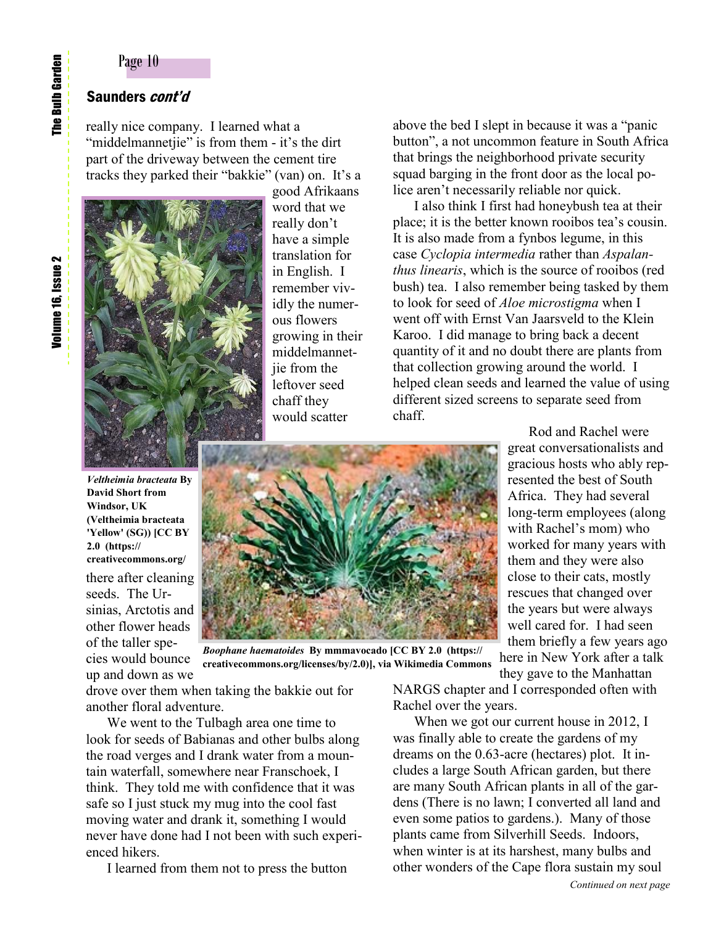# Saunders *cont'd*

really nice company. I learned what a "middelmannetjie" is from them - it's the dirt part of the driveway between the cement tire tracks they parked their "bakkie" (van) on. It's a



there after cleaning seeds. The Ursinias, Arctotis and other flower heads of the taller species would bounce up and down as we

*Veltheimia bracteata* **By David Short from Windsor, UK** 

**(Veltheimia bracteata 'Yellow' (SG)) [CC BY** 

**creativecommons.org/**

**2.0 (https://**

good Afrikaans word that we really don't have a simple translation for in English. I remember vividly the numerous flowers growing in their middelmannetiie from the leftover seed chaff they would scatter

above the bed I slept in because it was a "panic button", a not uncommon feature in South Africa that brings the neighborhood private security squad barging in the front door as the local police aren't necessarily reliable nor quick.

I also think I first had honeybush tea at their place; it is the better known rooibos tea's cousin. It is also made from a fynbos legume, in this case *Cyclopia intermedia* rather than *Aspalanthus linearis*, which is the source of rooibos (red bush) tea. I also remember being tasked by them to look for seed of *Aloe microstigma* when I went off with Ernst Van Jaarsveld to the Klein Karoo. I did manage to bring back a decent quantity of it and no doubt there are plants from that collection growing around the world. I helped clean seeds and learned the value of using different sized screens to separate seed from chaff.

> Rod and Rachel were great conversationalists and gracious hosts who ably represented the best of South Africa. They had several long-term employees (along with Rachel's mom) who worked for many years with them and they were also close to their cats, mostly rescues that changed over the years but were always well cared for. I had seen them briefly a few years ago here in New York after a talk

*Boophane haematoides* **By mmmavocado [CC BY 2.0 (https:// creativecommons.org/licenses/by/2.0)], via Wikimedia Commons**

drove over them when taking the bakkie out for another floral adventure.

We went to the Tulbagh area one time to look for seeds of Babianas and other bulbs along the road verges and I drank water from a mountain waterfall, somewhere near Franschoek, I think. They told me with confidence that it was safe so I just stuck my mug into the cool fast moving water and drank it, something I would never have done had I not been with such experienced hikers.

I learned from them not to press the button

they gave to the Manhattan NARGS chapter and I corresponded often with Rachel over the years.

 When we got our current house in 2012, I was finally able to create the gardens of my dreams on the 0.63-acre (hectares) plot. It includes a large South African garden, but there are many South African plants in all of the gardens (There is no lawn; I converted all land and even some patios to gardens.). Many of those plants came from Silverhill Seeds. Indoors, when winter is at its harshest, many bulbs and other wonders of the Cape flora sustain my soul

The Bulb Garden Volume 16, Issue 2 The Bulb Garden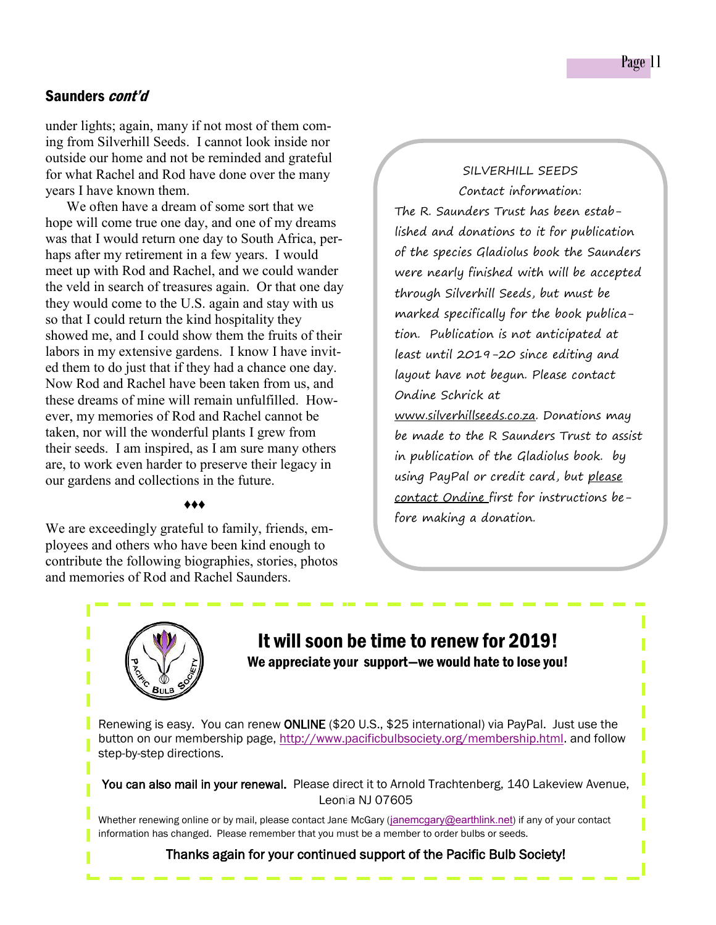under lights; again, many if not most of them coming from Silverhill Seeds. I cannot look inside nor outside our home and not be reminded and grateful for what Rachel and Rod have done over the many years I have known them.

We often have a dream of some sort that we hope will come true one day, and one of my dreams was that I would return one day to South Africa, perhaps after my retirement in a few years. I would meet up with Rod and Rachel, and we could wander the veld in search of treasures again. Or that one day they would come to the U.S. again and stay with us so that I could return the kind hospitality they showed me, and I could show them the fruits of their labors in my extensive gardens. I know I have invited them to do just that if they had a chance one day. Now Rod and Rachel have been taken from us, and these dreams of mine will remain unfulfilled. However, my memories of Rod and Rachel cannot be taken, nor will the wonderful plants I grew from their seeds. I am inspired, as I am sure many others are, to work even harder to preserve their legacy in our gardens and collections in the future.

## *♦♦♦*

We are exceedingly grateful to family, friends, employees and others who have been kind enough to contribute the following biographies, stories, photos and memories of Rod and Rachel Saunders.

SILVERHILL SEEDS Contact information: The R. Saunders Trust has been established and donations to it for publication of the species Gladiolus book the Saunders were nearly finished with will be accepted through Silverhill Seeds, but must be marked specifically for the book publication. Publication is not anticipated at least until 2019-20 since editing and layout have not begun. Please contact Ondine Schrick at www.silverhillseeds.co.za. Donations may be made to the R Saunders Trust to assist in publication of the Gladiolus book. by using PayPal or credit card, but please contact Ondine first for instructions before making a donation.

# It will soon be time to renew for 2019! We appreciate your support—we would hate to lose you!

Renewing is easy. You can renew ONLINE (\$20 U.S., \$25 international) via PayPal. Just use the button on our membership page, [http://www.pacificbulbsociety.org/membership.html.](http://www.pacificbulbsociety.org/membership.html) and follow step-by-step directions.

You can also mail in your renewal. Please direct it to Arnold Trachtenberg, 140 Lakeview Avenue, Leonia NJ 07605

Whether renewing online or by mail, please contact Jane McGary ([janemcgary@earthlink.net](mailto:janemcgary@earthlink.net)) if any of your contact information has changed. Please remember that you must be a member to order bulbs or seeds.

#### Thanks again for your continued support of the Pacific Bulb Society!